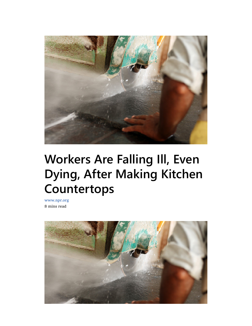

# Workers Are Falling Ill, Even Dying, After Making Kitchen Countertops

www.npr.org 8 mins read

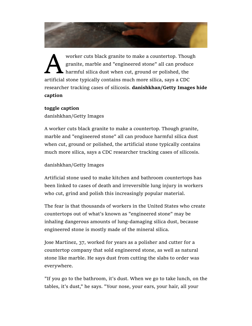

worker cuts black granite to make a countertop. Though<br>granite, marble and "engineered stone" all can produce<br>harmful silica dust when cut, ground or polished, the<br>artificial stone typically contains much more silica, says granite, marble and "engineered stone" all can produce harmful silica dust when cut, ground or polished, the artificial stone typically contains much more silica, says a CDC researcher tracking cases of silicosis. **danishkhan/Getty Images hide caption**

#### **toggle caption**

danishkhan/Getty Images

A worker cuts black granite to make a countertop. Though granite, marble and "engineered stone" all can produce harmful silica dust when cut, ground or polished, the artificial stone typically contains much more silica, says a CDC researcher tracking cases of silicosis.

## danishkhan/Getty Images

Artificial stone used to make kitchen and bathroom countertops has been linked to cases of death and irreversible lung injury in workers who cut, grind and polish this increasingly popular material.

The fear is that thousands of workers in the United States who create countertops out of what's known as "engineered stone" may be inhaling dangerous amounts of lung-damaging silica dust, because engineered stone is mostly made of the mineral silica.

Jose Martinez, 37, worked for years as a polisher and cutter for a countertop company that sold engineered stone, as well as natural stone like marble. He says dust from cutting the slabs to order was everywhere.

"If you go to the bathroom, it's dust. When we go to take lunch, on the tables, it's dust," he says. "Your nose, your ears, your hair, all your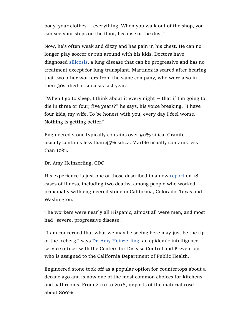body, your clothes — everything. When you walk out of the shop, you can see your steps on the floor, because of the dust."

Now, he's often weak and dizzy and has pain in his chest. He can no longer play soccer or run around with his kids. Doctors have diagnosed silicosis, a lung disease that can be progressive and has no treatment except for lung transplant. Martinez is scared after hearing that two other workers from the same company, who were also in their 30s, died of silicosis last year.

"When I go to sleep, I think about it every night — that if I'm going to die in three or four, five years?" he says, his voice breaking. "I have four kids, my wife. To be honest with you, every day I feel worse. Nothing is getting better."

Engineered stone typically contains over 90% silica. Granite ... usually contains less than 45% silica. Marble usually contains less than 10%.

#### Dr. Amy Heinzerling, CDC

His experience is just one of those described in a new report on 18 cases of illness, including two deaths, among people who worked principally with engineered stone in California, Colorado, Texas and Washington.

The workers were nearly all Hispanic, almost all were men, and most had "severe, progressive disease."

"I am concerned that what we may be seeing here may just be the tip of the iceberg," says Dr. Amy Heinzerling, an epidemic intelligence service officer with the Centers for Disease Control and Prevention who is assigned to the California Department of Public Health.

Engineered stone took off as a popular option for countertops about a decade ago and is now one of the most common choices for kitchens and bathrooms. From 2010 to 2018, imports of the material rose about 800%.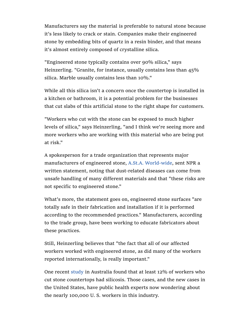Manufacturers say the material is preferable to natural stone because it's less likely to crack or stain. Companies make their engineered stone by embedding bits of quartz in a resin binder, and that means it's almost entirely composed of crystalline silica.

"Engineered stone typically contains over 90% silica," says Heinzerling. "Granite, for instance, usually contains less than 45% silica. Marble usually contains less than 10%."

While all this silica isn't a concern once the countertop is installed in a kitchen or bathroom, it is a potential problem for the businesses that cut slabs of this artificial stone to the right shape for customers.

"Workers who cut with the stone can be exposed to much higher levels of silica," says Heinzerling, "and I think we're seeing more and more workers who are working with this material who are being put at risk."

A spokesperson for a trade organization that represents major manufacturers of engineered stone, A.St.A. World-wide, sent NPR a written statement, noting that dust-related diseases can come from unsafe handling of many different materials and that "these risks are not specific to engineered stone."

What's more, the statement goes on, engineered stone surfaces "are totally safe in their fabrication and installation if it is performed according to the recommended practices." Manufacturers, according to the trade group, have been working to educate fabricators about these practices.

Still, Heinzerling believes that "the fact that all of our affected workers worked with engineered stone, as did many of the workers reported internationally, is really important."

One recent study in Australia found that at least 12% of workers who cut stone countertops had silicosis. Those cases, and the new cases in the United States, have public health experts now wondering about the nearly 100,000 U. S. workers in this industry.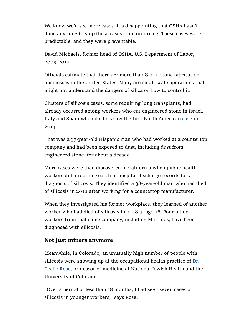We knew we'd see more cases. It's disappointing that OSHA hasn't done anything to stop these cases from occurring. These cases were predictable, and they were preventable.

David Michaels, former head of OSHA, U.S. Department of Labor, 2009-2017

Officials estimate that there are more than 8,000 stone fabrication businesses in the United States. Many are small-scale operations that might not understand the dangers of silica or how to control it.

Clusters of silicosis cases, some requiring lung transplants, had already occurred among workers who cut engineered stone in Israel, Italy and Spain when doctors saw the first North American case in 2014.

That was a 37-year-old Hispanic man who had worked at a countertop company and had been exposed to dust, including dust from engineered stone, for about a decade.

More cases were then discovered in California when public health workers did a routine search of hospital discharge records for a diagnosis of silicosis. They identified a 38-year-old man who had died of silicosis in 2018 after working for a countertop manufacturer.

When they investigated his former workplace, they learned of another worker who had died of silicosis in 2018 at age 36. Four other workers from that same company, including Martinez, have been diagnosed with silicosis.

## **Not just miners anymore**

Meanwhile, in Colorado, an unusually high number of people with silicosis were showing up at the occupational health practice of Dr. Cecile Rose, professor of medicine at National Jewish Health and the University of Colorado.

"Over a period of less than 18 months, I had seen seven cases of silicosis in younger workers," says Rose.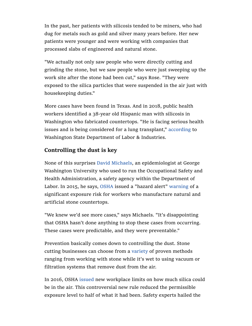In the past, her patients with silicosis tended to be miners, who had dug for metals such as gold and silver many years before. Her new patients were younger and were working with companies that processed slabs of engineered and natural stone.

"We actually not only saw people who were directly cutting and grinding the stone, but we saw people who were just sweeping up the work site after the stone had been cut," says Rose. "They were exposed to the silica particles that were suspended in the air just with housekeeping duties."

More cases have been found in Texas. And in 2018, public health workers identified a 38-year old Hispanic man with silicosis in Washington who fabricated countertops. "He is facing serious health issues and is being considered for a lung transplant," according to Washington State Department of Labor & Industries.

# **Controlling the dust is key**

None of this surprises David Michaels, an epidemiologist at George Washington University who used to run the Occupational Safety and Health Administration, a safety agency within the Department of Labor. In 2015, he says, OSHA issued a "hazard alert" warning of a significant exposure risk for workers who manufacture natural and artificial stone countertops.

"We knew we'd see more cases," says Michaels. "It's disappointing that OSHA hasn't done anything to stop these cases from occurring. These cases were predictable, and they were preventable."

Prevention basically comes down to controlling the dust. Stone cutting businesses can choose from a variety of proven methods ranging from working with stone while it's wet to using vacuum or filtration systems that remove dust from the air.

In 2016, OSHA issued new workplace limits on how much silica could be in the air. This controversial new rule reduced the permissible exposure level to half of what it had been. Safety experts hailed the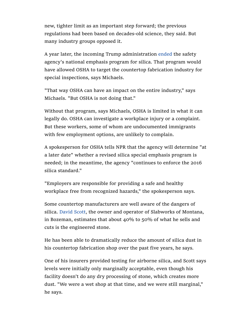new, tighter limit as an important step forward; the previous regulations had been based on decades-old science, they said. But many industry groups opposed it.

A year later, the incoming Trump administration ended the safety agency's national emphasis program for silica. That program would have allowed OSHA to target the countertop fabrication industry for special inspections, says Michaels.

"That way OSHA can have an impact on the entire industry," says Michaels. "But OSHA is not doing that."

Without that program, says Michaels, OSHA is limited in what it can legally do. OSHA can investigate a workplace injury or a complaint. But these workers, some of whom are undocumented immigrants with few employment options, are unlikely to complain.

A spokesperson for OSHA tells NPR that the agency will determine "at a later date" whether a revised silica special emphasis program is needed; in the meantime, the agency "continues to enforce the 2016 silica standard."

"Employers are responsible for providing a safe and healthy workplace free from recognized hazards," the spokesperson says.

Some countertop manufacturers are well aware of the dangers of silica. David Scott, the owner and operator of Slabworks of Montana, in Bozeman, estimates that about  $40\%$  to  $50\%$  of what he sells and cuts is the engineered stone.

He has been able to dramatically reduce the amount of silica dust in his countertop fabrication shop over the past five years, he says.

One of his insurers provided testing for airborne silica, and Scott says levels were initially only marginally acceptable, even though his facility doesn't do any dry processing of stone, which creates more dust. "We were a wet shop at that time, and we were still marginal," he says.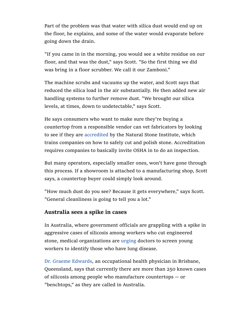Part of the problem was that water with silica dust would end up on the floor, he explains, and some of the water would evaporate before going down the drain.

"If you came in in the morning, you would see a white residue on our floor, and that was the dust," says Scott. "So the first thing we did was bring in a floor scrubber. We call it our Zamboni."

The machine scrubs and vacuums up the water, and Scott says that reduced the silica load in the air substantially. He then added new air handling systems to further remove dust. "We brought our silica levels, at times, down to undetectable," says Scott.

He says consumers who want to make sure they're buying a countertop from a responsible vendor can vet fabricators by looking to see if they are accredited by the Natural Stone Institute, which trains companies on how to safely cut and polish stone. Accreditation requires companies to basically invite OSHA in to do an inspection.

But many operators, especially smaller ones, won't have gone through this process. If a showroom is attached to a manufacturing shop, Scott says, a countertop buyer could simply look around.

"How much dust do you see? Because it gets everywhere," says Scott. "General cleanliness is going to tell you a lot."

### **Australia sees a spike in cases**

In Australia, where government officials are grappling with a spike in aggressive cases of silicosis among workers who cut engineered stone, medical organizations are urging doctors to screen young workers to identify those who have lung disease.

Dr. Graeme Edwards, an occupational health physician in Brisbane, Queensland, says that currently there are more than 250 known cases of silicosis among people who manufacture countertops — or "benchtops," as they are called in Australia.